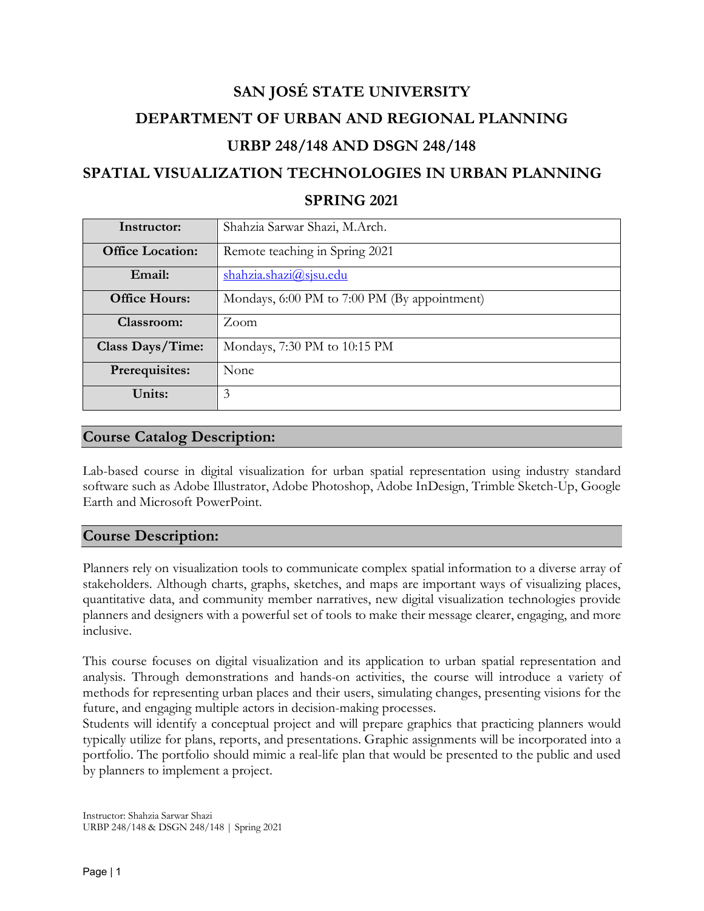# **SAN JOSÉ STATE UNIVERSITY DEPARTMENT OF URBAN AND REGIONAL PLANNING URBP 248/148 AND DSGN 248/148**

## **SPATIAL VISUALIZATION TECHNOLOGIES IN URBAN PLANNING**

#### **SPRING 2021**

| Instructor:             | Shahzia Sarwar Shazi, M.Arch.                |  |  |
|-------------------------|----------------------------------------------|--|--|
| <b>Office Location:</b> | Remote teaching in Spring 2021               |  |  |
| Email:                  | shahzia.shazi@sjsu.edu                       |  |  |
| <b>Office Hours:</b>    | Mondays, 6:00 PM to 7:00 PM (By appointment) |  |  |
| Classroom:              | Zoom                                         |  |  |
| Class Days/Time:        | Mondays, 7:30 PM to 10:15 PM                 |  |  |
| Prerequisites:          | None                                         |  |  |
| Units:                  | 3                                            |  |  |

### **Course Catalog Description:**

Lab-based course in digital visualization for urban spatial representation using industry standard software such as Adobe Illustrator, Adobe Photoshop, Adobe InDesign, Trimble Sketch-Up, Google Earth and Microsoft PowerPoint.

#### **Course Description:**

Planners rely on visualization tools to communicate complex spatial information to a diverse array of stakeholders. Although charts, graphs, sketches, and maps are important ways of visualizing places, quantitative data, and community member narratives, new digital visualization technologies provide planners and designers with a powerful set of tools to make their message clearer, engaging, and more inclusive.

This course focuses on digital visualization and its application to urban spatial representation and analysis. Through demonstrations and hands-on activities, the course will introduce a variety of methods for representing urban places and their users, simulating changes, presenting visions for the future, and engaging multiple actors in decision-making processes.

Students will identify a conceptual project and will prepare graphics that practicing planners would typically utilize for plans, reports, and presentations. Graphic assignments will be incorporated into a portfolio. The portfolio should mimic a real-life plan that would be presented to the public and used by planners to implement a project.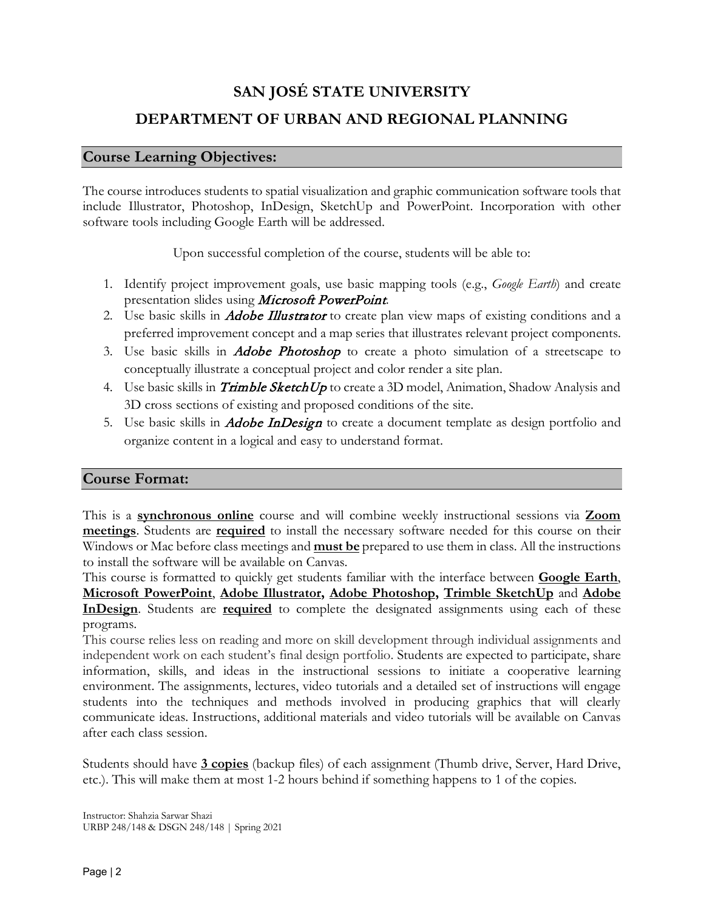## **SAN JOSÉ STATE UNIVERSITY**

## **DEPARTMENT OF URBAN AND REGIONAL PLANNING**

### **Course Learning Objectives:**

The course introduces students to spatial visualization and graphic communication software tools that include Illustrator, Photoshop, InDesign, SketchUp and PowerPoint. Incorporation with other software tools including Google Earth will be addressed.

Upon successful completion of the course, students will be able to:

- 1. Identify project improvement goals, use basic mapping tools (e.g., *Google Earth*) and create presentation slides using Microsoft PowerPoint.
- 2. Use basic skills in *Adobe Illustrator* to create plan view maps of existing conditions and a preferred improvement concept and a map series that illustrates relevant project components.
- 3. Use basic skills in *Adobe Photoshop* to create a photo simulation of a streetscape to conceptually illustrate a conceptual project and color render a site plan.
- 4. Use basic skills in *Trimble SketchUp* to create a 3D model, Animation, Shadow Analysis and 3D cross sections of existing and proposed conditions of the site.
- 5. Use basic skills in *Adobe InDesign* to create a document template as design portfolio and organize content in a logical and easy to understand format.

### **Course Format:**

This is a **synchronous online** course and will combine weekly instructional sessions via **Zoom meetings**. Students are **required** to install the necessary software needed for this course on their Windows or Mac before class meetings and **must be** prepared to use them in class. All the instructions to install the software will be available on Canvas.

This course is formatted to quickly get students familiar with the interface between **Google Earth**, **Microsoft PowerPoint**, **Adobe Illustrator, Adobe Photoshop, Trimble SketchUp** and **Adobe InDesign**. Students are **required** to complete the designated assignments using each of these programs.

This course relies less on reading and more on skill development through individual assignments and independent work on each student's final design portfolio. Students are expected to participate, share information, skills, and ideas in the instructional sessions to initiate a cooperative learning environment. The assignments, lectures, video tutorials and a detailed set of instructions will engage students into the techniques and methods involved in producing graphics that will clearly communicate ideas. Instructions, additional materials and video tutorials will be available on Canvas after each class session.

Students should have **3 copies** (backup files) of each assignment (Thumb drive, Server, Hard Drive, etc.). This will make them at most 1-2 hours behind if something happens to 1 of the copies.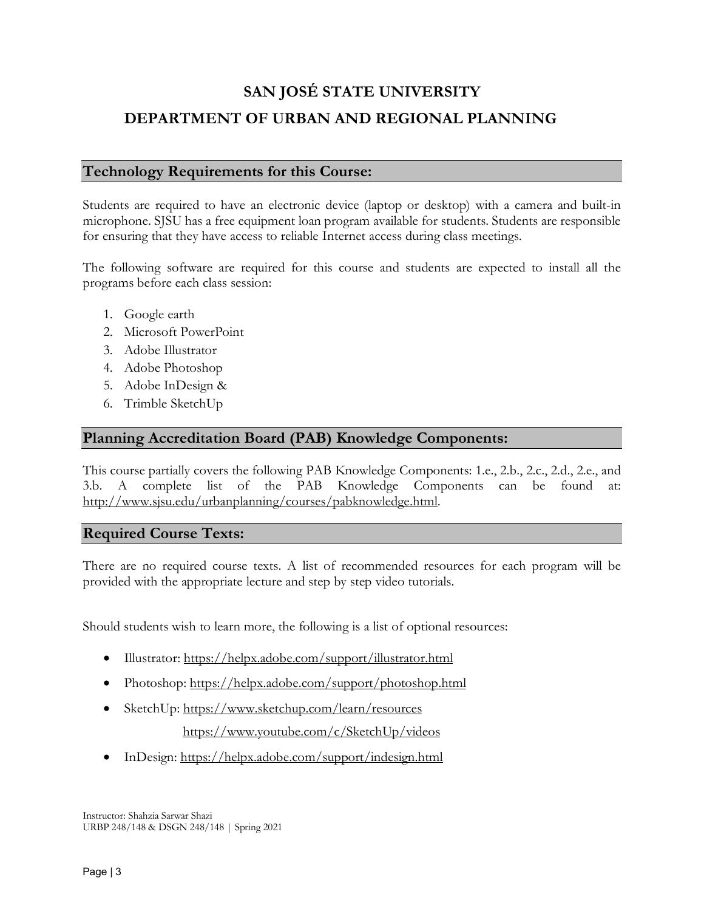### **Technology Requirements for this Course:**

Students are required to have an electronic device (laptop or desktop) with a camera and built-in microphone. SJSU has a free equipment loan program available for students. Students are responsible for ensuring that they have access to reliable Internet access during class meetings.

The following software are required for this course and students are expected to install all the programs before each class session:

- 1. Google earth
- 2. Microsoft PowerPoint
- 3. Adobe Illustrator
- 4. Adobe Photoshop
- 5. Adobe InDesign &
- 6. Trimble SketchUp

#### **Planning Accreditation Board (PAB) Knowledge Components:**

This course partially covers the following PAB Knowledge Components: 1.e., 2.b., 2.c., 2.d., 2.e., and 3.b. A complete list of the PAB Knowledge Components can be found [http://www.sjsu.edu/urbanplanning/courses/pabknowledge.html.](http://www.sjsu.edu/urbanplanning/courses/pabknowledge.html)

#### **Required Course Texts:**

There are no required course texts. A list of recommended resources for each program will be provided with the appropriate lecture and step by step video tutorials.

Should students wish to learn more, the following is a list of optional resources:

- Illustrator:<https://helpx.adobe.com/support/illustrator.html>
- Photoshop: https://helpx.adobe.com/support/photoshop.html
- SketchUp:<https://www.sketchup.com/learn/resources>

https://www.youtube.com/c/SketchUp/videos

• InDesign:<https://helpx.adobe.com/support/indesign.html>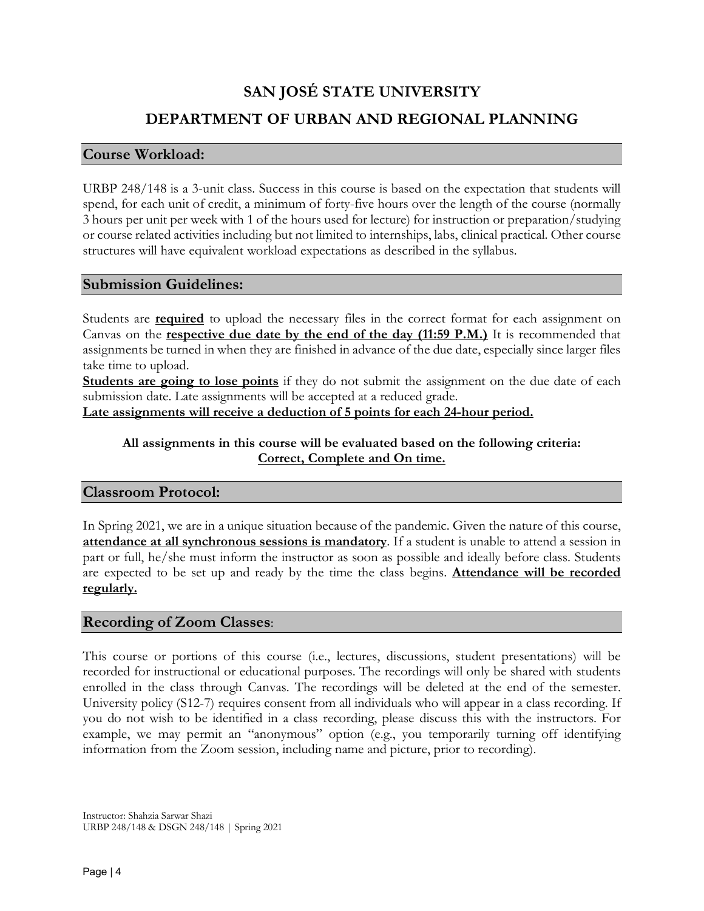#### **Course Workload:**

URBP 248/148 is a 3-unit class. Success in this course is based on the expectation that students will spend, for each unit of credit, a minimum of forty-five hours over the length of the course (normally 3 hours per unit per week with 1 of the hours used for lecture) for instruction or preparation/studying or course related activities including but not limited to internships, labs, clinical practical. Other course structures will have equivalent workload expectations as described in the syllabus.

#### **Submission Guidelines:**

Students are **required** to upload the necessary files in the correct format for each assignment on Canvas on the **respective due date by the end of the day (11:59 P.M.)** It is recommended that assignments be turned in when they are finished in advance of the due date, especially since larger files take time to upload.

**Students are going to lose points** if they do not submit the assignment on the due date of each submission date. Late assignments will be accepted at a reduced grade.

**Late assignments will receive a deduction of 5 points for each 24-hour period.**

#### **All assignments in this course will be evaluated based on the following criteria: Correct, Complete and On time.**

#### **Classroom Protocol:**

In Spring 2021, we are in a unique situation because of the pandemic. Given the nature of this course, **attendance at all synchronous sessions is mandatory**. If a student is unable to attend a session in part or full, he/she must inform the instructor as soon as possible and ideally before class. Students are expected to be set up and ready by the time the class begins. **Attendance will be recorded regularly.**

#### **Recording of Zoom Classes**:

This course or portions of this course (i.e., lectures, discussions, student presentations) will be recorded for instructional or educational purposes. The recordings will only be shared with students enrolled in the class through Canvas. The recordings will be deleted at the end of the semester. University policy (S12-7) requires consent from all individuals who will appear in a class recording. If you do not wish to be identified in a class recording, please discuss this with the instructors. For example, we may permit an "anonymous" option (e.g., you temporarily turning off identifying information from the Zoom session, including name and picture, prior to recording).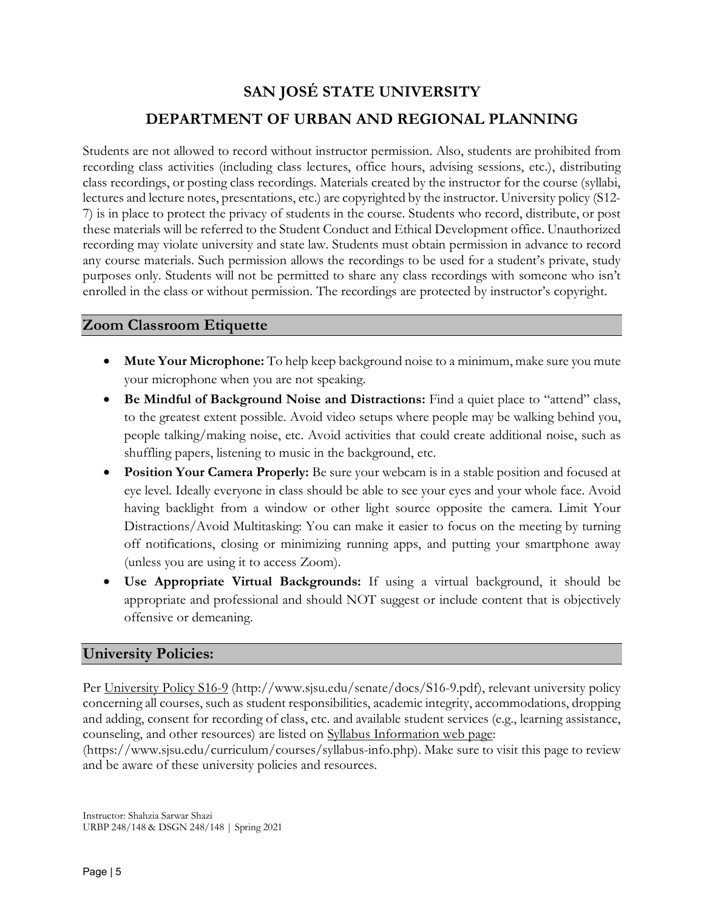Students are not allowed to record without instructor permission. Also, students are prohibited from recording class activities (including class lectures, office hours, advising sessions, etc.), distributing class recordings, or posting class recordings. Materials created by the instructor for the course (syllabi, lectures and lecture notes, presentations, etc.) are copyrighted by the instructor. University policy (S12- 7) is in place to protect the privacy of students in the course. Students who record, distribute, or post these materials will be referred to the Student Conduct and Ethical Development office. Unauthorized recording may violate university and state law. Students must obtain permission in advance to record any course materials. Such permission allows the recordings to be used for a student's private, study purposes only. Students will not be permitted to share any class recordings with someone who isn't enrolled in the class or without permission. The recordings are protected by instructor's copyright.

### **Zoom Classroom Etiquette**

- **Mute Your Microphone:** To help keep background noise to a minimum, make sure you mute your microphone when you are not speaking.
- **Be Mindful of Background Noise and Distractions:** Find a quiet place to "attend" class, to the greatest extent possible. Avoid video setups where people may be walking behind you, people talking/making noise, etc. Avoid activities that could create additional noise, such as shuffling papers, listening to music in the background, etc.
- **Position Your Camera Properly:** Be sure your webcam is in a stable position and focused at eye level. Ideally everyone in class should be able to see your eyes and your whole face. Avoid having backlight from a window or other light source opposite the camera. Limit Your Distractions/Avoid Multitasking: You can make it easier to focus on the meeting by turning off notifications, closing or minimizing running apps, and putting your smartphone away (unless you are using it to access Zoom).
- **Use Appropriate Virtual Backgrounds:** If using a virtual background, it should be appropriate and professional and should NOT suggest or include content that is objectively offensive or demeaning.

#### **University Policies:**

Per University Policy S16-9 (http://www.sjsu.edu/senate/docs/S16-9.pdf), relevant university policy concerning all courses, such as student responsibilities, academic integrity, accommodations, dropping and adding, consent for recording of class, etc. and available student services (e.g., learning assistance, counseling, and other resources) are listed on Syllabus Information web page:

(https://www.sjsu.edu/curriculum/courses/syllabus-info.php). Make sure to visit this page to review and be aware of these university policies and resources.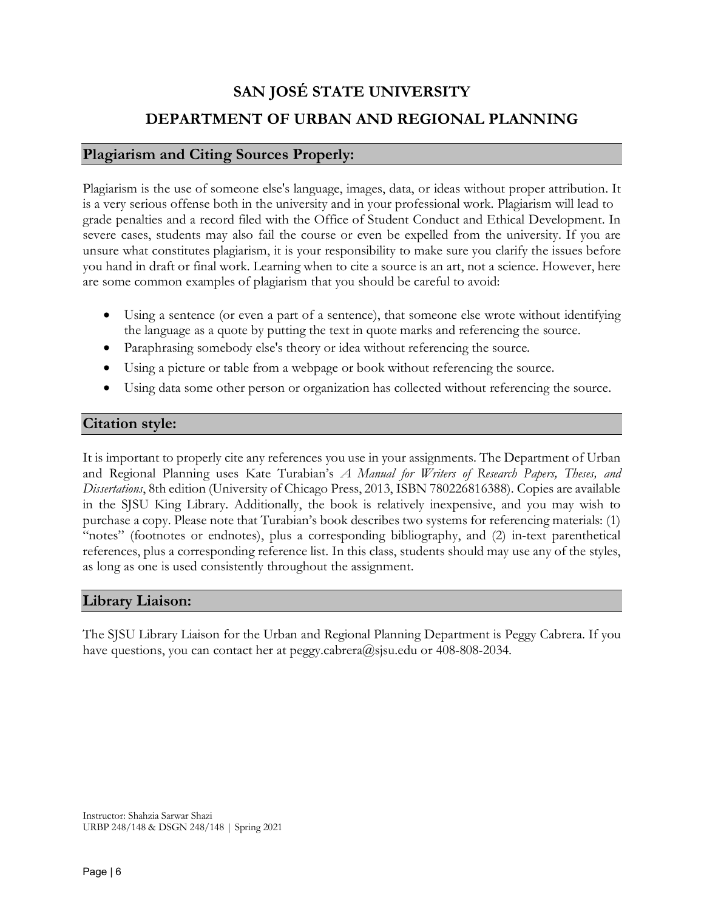#### **Plagiarism and Citing Sources Properly:**

Plagiarism is the use of someone else's language, images, data, or ideas without proper attribution. It is a very serious offense both in the university and in your professional work. Plagiarism will lead to grade penalties and a record filed with the Office of Student Conduct and Ethical Development. In severe cases, students may also fail the course or even be expelled from the university. If you are unsure what constitutes plagiarism, it is your responsibility to make sure you clarify the issues before you hand in draft or final work. Learning when to cite a source is an art, not a science. However, here are some common examples of plagiarism that you should be careful to avoid:

- Using a sentence (or even a part of a sentence), that someone else wrote without identifying the language as a quote by putting the text in quote marks and referencing the source.
- Paraphrasing somebody else's theory or idea without referencing the source.
- Using a picture or table from a webpage or book without referencing the source.
- Using data some other person or organization has collected without referencing the source.

### **Citation style:**

It is important to properly cite any references you use in your assignments. The Department of Urban and Regional Planning uses Kate Turabian's *A Manual for Writers of Research Papers, Theses, and Dissertations*, 8th edition (University of Chicago Press, 2013, ISBN 780226816388). Copies are available in the SJSU King Library. Additionally, the book is relatively inexpensive, and you may wish to purchase a copy. Please note that Turabian's book describes two systems for referencing materials: (1) "notes" (footnotes or endnotes), plus a corresponding bibliography, and (2) in-text parenthetical references, plus a corresponding reference list. In this class, students should may use any of the styles, as long as one is used consistently throughout the assignment.

### **Library Liaison:**

The SJSU Library Liaison for the Urban and Regional Planning Department is Peggy Cabrera. If you have questions, you can contact her at peggy.cabrera@sjsu.edu or 408-808-2034.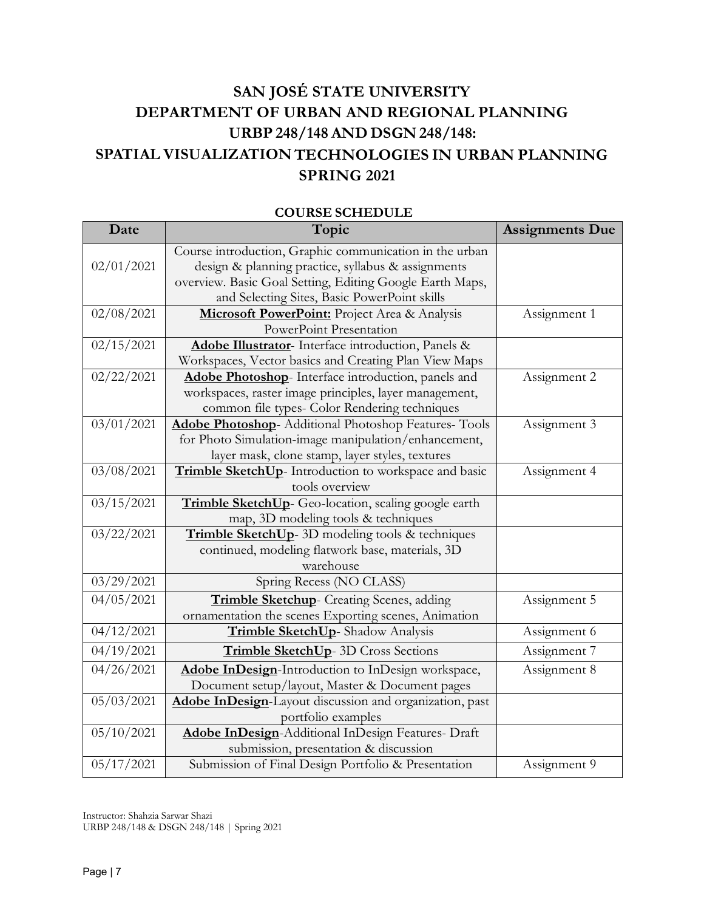## **SAN JOSÉ STATE UNIVERSITY DEPARTMENT OF URBAN AND REGIONAL PLANNING URBP 248/148 AND DSGN 248/148: SPATIAL VISUALIZATION TECHNOLOGIES IN URBAN PLANNING SPRING 2021**

| Date                  | Topic                                                         | <b>Assignments Due</b> |
|-----------------------|---------------------------------------------------------------|------------------------|
|                       | Course introduction, Graphic communication in the urban       |                        |
| 02/01/2021            | design & planning practice, syllabus & assignments            |                        |
|                       | overview. Basic Goal Setting, Editing Google Earth Maps,      |                        |
|                       | and Selecting Sites, Basic PowerPoint skills                  |                        |
| 02/08/2021            | Microsoft PowerPoint: Project Area & Analysis                 | Assignment 1           |
|                       | PowerPoint Presentation                                       |                        |
| 02/15/2021            | Adobe Illustrator- Interface introduction, Panels &           |                        |
|                       | Workspaces, Vector basics and Creating Plan View Maps         |                        |
| 02/22/2021            | Adobe Photoshop- Interface introduction, panels and           | Assignment 2           |
|                       | workspaces, raster image principles, layer management,        |                        |
|                       | common file types- Color Rendering techniques                 |                        |
| 03/01/2021            | <b>Adobe Photoshop</b> - Additional Photoshop Features- Tools | Assignment 3           |
|                       | for Photo Simulation-image manipulation/enhancement,          |                        |
|                       | layer mask, clone stamp, layer styles, textures               |                        |
| 03/08/2021            | Trimble SketchUp- Introduction to workspace and basic         | Assignment 4           |
|                       | tools overview                                                |                        |
| 03/15/2021            | Trimble SketchUp- Geo-location, scaling google earth          |                        |
|                       | map, 3D modeling tools & techniques                           |                        |
| 03/22/2021            | Trimble SketchUp- 3D modeling tools & techniques              |                        |
|                       | continued, modeling flatwork base, materials, 3D              |                        |
|                       | warehouse                                                     |                        |
| 03/29/2021            | Spring Recess (NO CLASS)                                      |                        |
| 04/05/2021            | Trimble Sketchup- Creating Scenes, adding                     | Assignment 5           |
|                       | ornamentation the scenes Exporting scenes, Animation          |                        |
| 04/12/2021            | Trimble SketchUp-Shadow Analysis                              | Assignment 6           |
| $\frac{04}{19}{2021}$ | <b>Trimble SketchUp-</b> 3D Cross Sections                    | Assignment 7           |
| 04/26/2021            | Adobe InDesign-Introduction to InDesign workspace,            | Assignment 8           |
|                       | Document setup/layout, Master & Document pages                |                        |
| 05/03/2021            | Adobe InDesign-Layout discussion and organization, past       |                        |
|                       | portfolio examples                                            |                        |
| 05/10/2021            | Adobe InDesign-Additional InDesign Features- Draft            |                        |
|                       | submission, presentation & discussion                         |                        |
| 05/17/2021            | Submission of Final Design Portfolio & Presentation           | Assignment 9           |

#### **COURSE SCHEDULE**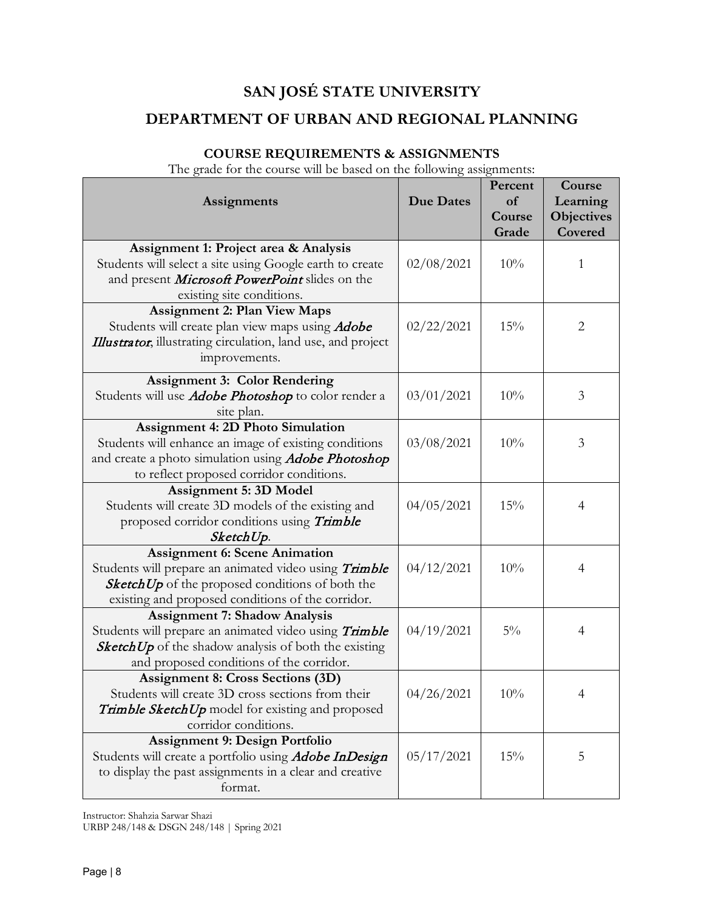## **COURSE REQUIREMENTS & ASSIGNMENTS**

The grade for the course will be based on the following assignments:

| <b>Assignments</b>                                                                                                                                                                                           | <b>Due Dates</b> | Percent<br>of<br>Course | Course<br>Learning<br>Objectives |
|--------------------------------------------------------------------------------------------------------------------------------------------------------------------------------------------------------------|------------------|-------------------------|----------------------------------|
|                                                                                                                                                                                                              |                  | Grade                   | Covered                          |
| Assignment 1: Project area & Analysis<br>Students will select a site using Google earth to create<br>and present <i>Microsoft PowerPoint</i> slides on the                                                   | 02/08/2021       | 10%                     | 1                                |
| existing site conditions.                                                                                                                                                                                    |                  |                         |                                  |
| <b>Assignment 2: Plan View Maps</b><br>Students will create plan view maps using <i>Adobe</i><br>Illustrator, illustrating circulation, land use, and project<br>improvements.                               | 02/22/2021       | 15%                     | $\overline{2}$                   |
| <b>Assignment 3: Color Rendering</b>                                                                                                                                                                         |                  |                         |                                  |
| Students will use <i>Adobe Photoshop</i> to color render a<br>site plan.                                                                                                                                     | 03/01/2021       | 10%                     | 3                                |
| <b>Assignment 4: 2D Photo Simulation</b><br>Students will enhance an image of existing conditions<br>and create a photo simulation using <i>Adobe Photoshop</i><br>to reflect proposed corridor conditions.  | 03/08/2021       | 10%                     | 3                                |
| Assignment 5: 3D Model<br>Students will create 3D models of the existing and<br>proposed corridor conditions using Trimble<br>SketchUp.                                                                      | 04/05/2021       | 15%                     | $\overline{4}$                   |
| <b>Assignment 6: Scene Animation</b><br>Students will prepare an animated video using Trimble<br><b>SketchUp</b> of the proposed conditions of both the<br>existing and proposed conditions of the corridor. | 04/12/2021       | 10%                     | 4                                |
| <b>Assignment 7: Shadow Analysis</b><br>Students will prepare an animated video using Trimble<br><b>SketchUp</b> of the shadow analysis of both the existing                                                 | 04/19/2021       | $5\%$                   | 4                                |
| and proposed conditions of the corridor.                                                                                                                                                                     |                  |                         |                                  |
| <b>Assignment 8: Cross Sections (3D)</b>                                                                                                                                                                     |                  |                         |                                  |
| Students will create 3D cross sections from their<br>Trimble SketchUp model for existing and proposed                                                                                                        | 04/26/2021       | $10\%$                  | 4                                |
| corridor conditions.                                                                                                                                                                                         |                  |                         |                                  |
| <b>Assignment 9: Design Portfolio</b>                                                                                                                                                                        |                  |                         |                                  |
| Students will create a portfolio using <i>Adobe InDesign</i><br>to display the past assignments in a clear and creative<br>format.                                                                           | 05/17/2021       | 15%                     | 5                                |

Instructor: Shahzia Sarwar Shazi

URBP 248/148 & DSGN 248/148 | Spring 2021